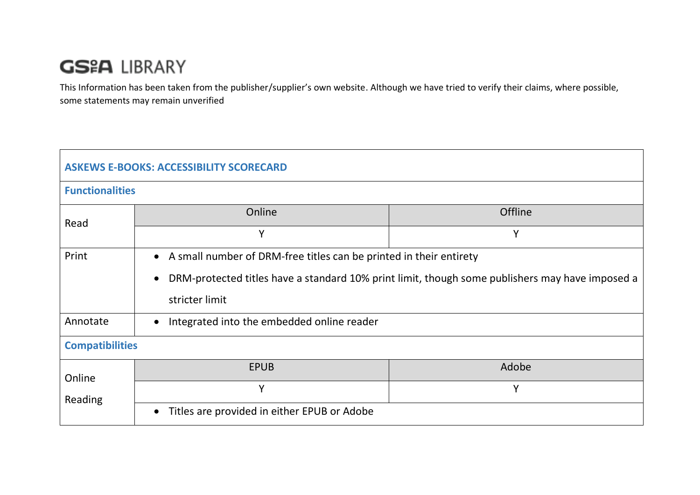## **GS&A LIBRARY**

This Information has been taken from the publisher/supplier's own website. Although we have tried to verify their claims, where possible, some statements may remain unverified

| <b>ASKEWS E-BOOKS: ACCESSIBILITY SCORECARD</b> |                                                                                                                                                                                           |                |  |  |
|------------------------------------------------|-------------------------------------------------------------------------------------------------------------------------------------------------------------------------------------------|----------------|--|--|
| <b>Functionalities</b>                         |                                                                                                                                                                                           |                |  |  |
| Read                                           | Online                                                                                                                                                                                    | <b>Offline</b> |  |  |
|                                                | Y                                                                                                                                                                                         | Y              |  |  |
| Print                                          | • A small number of DRM-free titles can be printed in their entirety<br>DRM-protected titles have a standard 10% print limit, though some publishers may have imposed a<br>stricter limit |                |  |  |
| Annotate                                       | Integrated into the embedded online reader<br>$\bullet$                                                                                                                                   |                |  |  |
| <b>Compatibilities</b>                         |                                                                                                                                                                                           |                |  |  |
| Online<br>Reading                              | <b>EPUB</b>                                                                                                                                                                               | Adobe          |  |  |
|                                                | Y                                                                                                                                                                                         | Y              |  |  |
|                                                | Titles are provided in either EPUB or Adobe<br>$\bullet$                                                                                                                                  |                |  |  |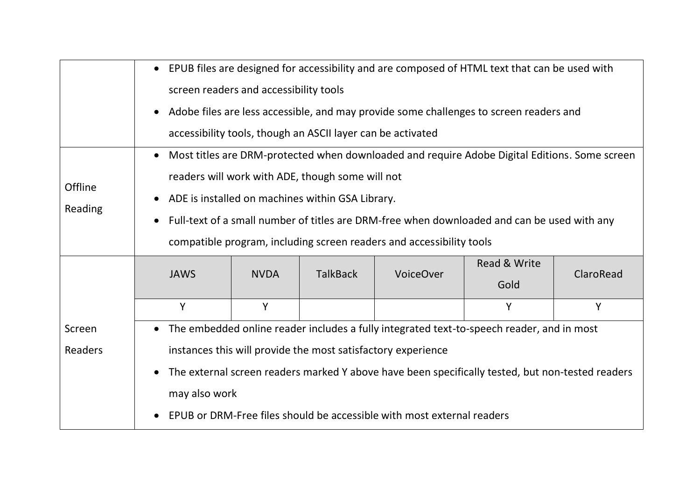|                           | EPUB files are designed for accessibility and are composed of HTML text that can be used with<br>$\bullet$<br>screen readers and accessibility tools<br>Adobe files are less accessible, and may provide some challenges to screen readers and<br>$\bullet$<br>accessibility tools, though an ASCII layer can be activated                                                   |             |                 |                  |                      |           |
|---------------------------|------------------------------------------------------------------------------------------------------------------------------------------------------------------------------------------------------------------------------------------------------------------------------------------------------------------------------------------------------------------------------|-------------|-----------------|------------------|----------------------|-----------|
| Offline<br><b>Reading</b> | Most titles are DRM-protected when downloaded and require Adobe Digital Editions. Some screen<br>readers will work with ADE, though some will not<br>ADE is installed on machines within GSA Library.<br>Full-text of a small number of titles are DRM-free when downloaded and can be used with any<br>compatible program, including screen readers and accessibility tools |             |                 |                  |                      |           |
|                           | <b>JAWS</b>                                                                                                                                                                                                                                                                                                                                                                  | <b>NVDA</b> | <b>TalkBack</b> | <b>VoiceOver</b> | Read & Write<br>Gold | ClaroRead |
|                           | Y                                                                                                                                                                                                                                                                                                                                                                            | Y           |                 |                  | Y                    | Y         |
| Screen<br>Readers         | The embedded online reader includes a fully integrated text-to-speech reader, and in most<br>instances this will provide the most satisfactory experience<br>The external screen readers marked Y above have been specifically tested, but non-tested readers<br>may also work<br>EPUB or DRM-Free files should be accessible with most external readers                     |             |                 |                  |                      |           |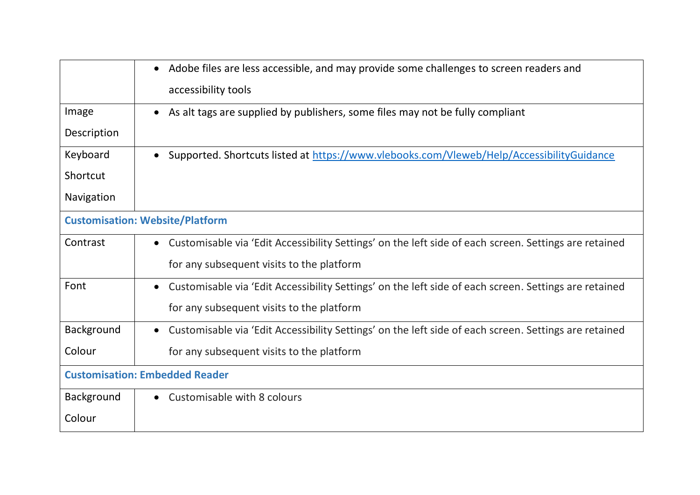|                                        | Adobe files are less accessible, and may provide some challenges to screen readers and<br>$\bullet$                |  |
|----------------------------------------|--------------------------------------------------------------------------------------------------------------------|--|
|                                        | accessibility tools                                                                                                |  |
| Image                                  | As alt tags are supplied by publishers, some files may not be fully compliant<br>$\bullet$                         |  |
| Description                            |                                                                                                                    |  |
| Keyboard                               | Supported. Shortcuts listed at https://www.vlebooks.com/Vleweb/Help/AccessibilityGuidance                          |  |
| Shortcut                               |                                                                                                                    |  |
| Navigation                             |                                                                                                                    |  |
| <b>Customisation: Website/Platform</b> |                                                                                                                    |  |
| Contrast                               | Customisable via 'Edit Accessibility Settings' on the left side of each screen. Settings are retained<br>$\bullet$ |  |
|                                        | for any subsequent visits to the platform                                                                          |  |
| Font                                   | Customisable via 'Edit Accessibility Settings' on the left side of each screen. Settings are retained              |  |
|                                        | for any subsequent visits to the platform                                                                          |  |
| Background                             | Customisable via 'Edit Accessibility Settings' on the left side of each screen. Settings are retained<br>$\bullet$ |  |
| Colour                                 | for any subsequent visits to the platform                                                                          |  |
| <b>Customisation: Embedded Reader</b>  |                                                                                                                    |  |
| Background                             | Customisable with 8 colours                                                                                        |  |
| Colour                                 |                                                                                                                    |  |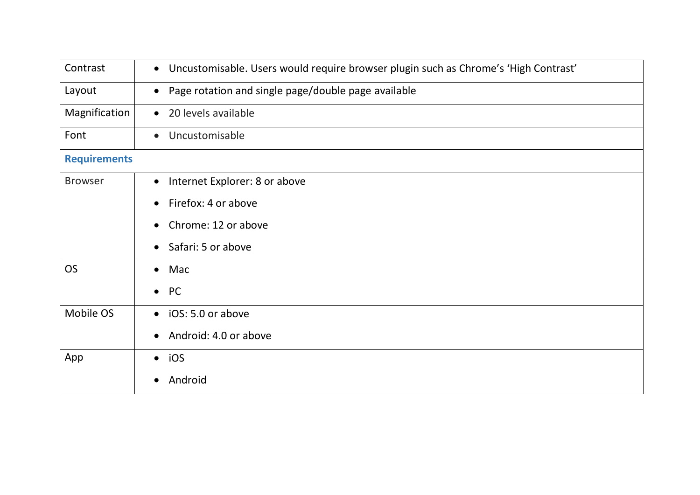| Contrast            | • Uncustomisable. Users would require browser plugin such as Chrome's 'High Contrast' |  |
|---------------------|---------------------------------------------------------------------------------------|--|
| Layout              | Page rotation and single page/double page available<br>$\bullet$                      |  |
| Magnification       | • 20 levels available                                                                 |  |
| Font                | Uncustomisable<br>$\bullet$                                                           |  |
| <b>Requirements</b> |                                                                                       |  |
| <b>Browser</b>      | Internet Explorer: 8 or above<br>$\bullet$                                            |  |
|                     | Firefox: 4 or above<br>$\bullet$                                                      |  |
|                     | Chrome: 12 or above<br>$\bullet$                                                      |  |
|                     | Safari: 5 or above<br>$\bullet$                                                       |  |
| <b>OS</b>           | $\bullet$ Mac                                                                         |  |
|                     | $\bullet$ PC                                                                          |  |
| Mobile OS           | • iOS: 5.0 or above                                                                   |  |
|                     | Android: 4.0 or above<br>$\bullet$                                                    |  |
| App                 | $\bullet$ iOS                                                                         |  |
|                     | Android<br>$\bullet$                                                                  |  |